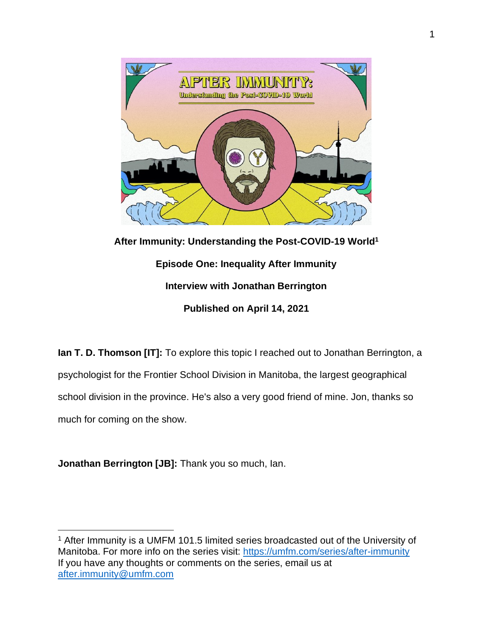

**After Immunity: Understanding the Post-COVID-19 World<sup>1</sup> Episode One: Inequality After Immunity Interview with Jonathan Berrington Published on April 14, 2021**

**Ian T. D. Thomson [IT]:** To explore this topic I reached out to Jonathan Berrington, a psychologist for the Frontier School Division in Manitoba, the largest geographical school division in the province. He's also a very good friend of mine. Jon, thanks so much for coming on the show.

**Jonathan Berrington [JB]:** Thank you so much, Ian.

<sup>1</sup> After Immunity is a UMFM 101.5 limited series broadcasted out of the University of Manitoba. For more info on the series visit:<https://umfm.com/series/after-immunity> If you have any thoughts or comments on the series, email us at [after.immunity@umfm.com](mailto:after.immunity@umfm.com)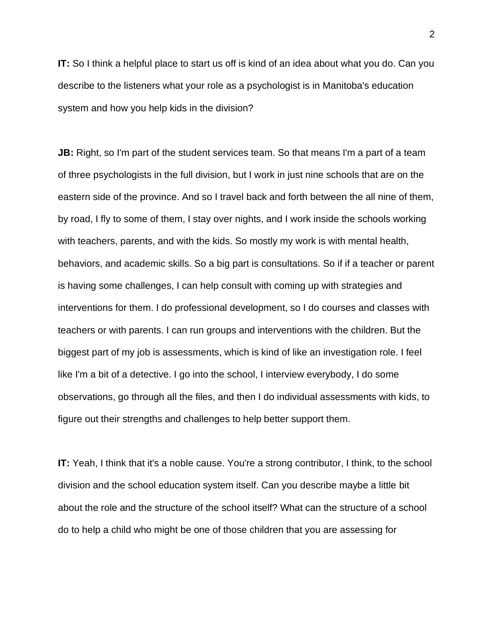**IT:** So I think a helpful place to start us off is kind of an idea about what you do. Can you describe to the listeners what your role as a psychologist is in Manitoba's education system and how you help kids in the division?

**JB:** Right, so I'm part of the student services team. So that means I'm a part of a team of three psychologists in the full division, but I work in just nine schools that are on the eastern side of the province. And so I travel back and forth between the all nine of them, by road, I fly to some of them, I stay over nights, and I work inside the schools working with teachers, parents, and with the kids. So mostly my work is with mental health, behaviors, and academic skills. So a big part is consultations. So if if a teacher or parent is having some challenges, I can help consult with coming up with strategies and interventions for them. I do professional development, so I do courses and classes with teachers or with parents. I can run groups and interventions with the children. But the biggest part of my job is assessments, which is kind of like an investigation role. I feel like I'm a bit of a detective. I go into the school, I interview everybody, I do some observations, go through all the files, and then I do individual assessments with kids, to figure out their strengths and challenges to help better support them.

**IT:** Yeah, I think that it's a noble cause. You're a strong contributor, I think, to the school division and the school education system itself. Can you describe maybe a little bit about the role and the structure of the school itself? What can the structure of a school do to help a child who might be one of those children that you are assessing for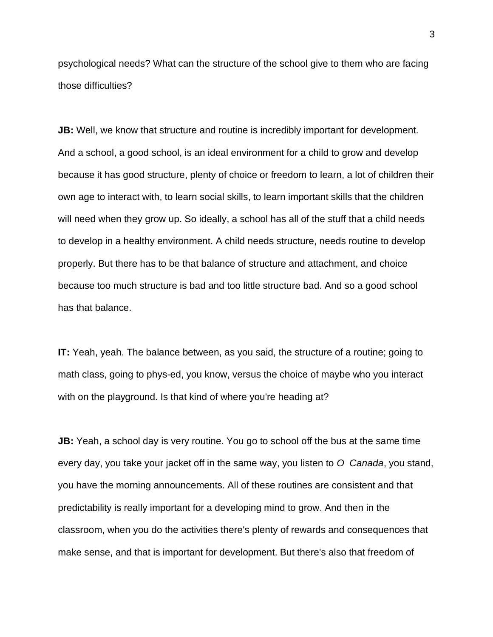psychological needs? What can the structure of the school give to them who are facing those difficulties?

**JB:** Well, we know that structure and routine is incredibly important for development. And a school, a good school, is an ideal environment for a child to grow and develop because it has good structure, plenty of choice or freedom to learn, a lot of children their own age to interact with, to learn social skills, to learn important skills that the children will need when they grow up. So ideally, a school has all of the stuff that a child needs to develop in a healthy environment. A child needs structure, needs routine to develop properly. But there has to be that balance of structure and attachment, and choice because too much structure is bad and too little structure bad. And so a good school has that balance.

**IT:** Yeah, yeah. The balance between, as you said, the structure of a routine; going to math class, going to phys-ed, you know, versus the choice of maybe who you interact with on the playground. Is that kind of where you're heading at?

**JB:** Yeah, a school day is very routine. You go to school off the bus at the same time every day, you take your jacket off in the same way, you listen to *O Canada*, you stand, you have the morning announcements. All of these routines are consistent and that predictability is really important for a developing mind to grow. And then in the classroom, when you do the activities there's plenty of rewards and consequences that make sense, and that is important for development. But there's also that freedom of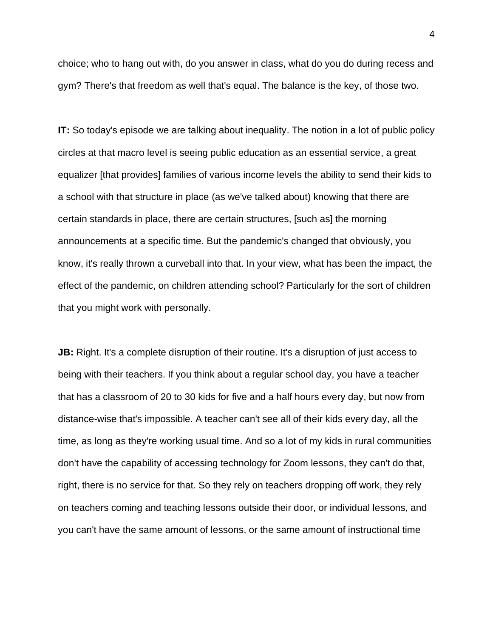choice; who to hang out with, do you answer in class, what do you do during recess and gym? There's that freedom as well that's equal. The balance is the key, of those two.

**IT:** So today's episode we are talking about inequality. The notion in a lot of public policy circles at that macro level is seeing public education as an essential service, a great equalizer [that provides] families of various income levels the ability to send their kids to a school with that structure in place (as we've talked about) knowing that there are certain standards in place, there are certain structures, [such as] the morning announcements at a specific time. But the pandemic's changed that obviously, you know, it's really thrown a curveball into that. In your view, what has been the impact, the effect of the pandemic, on children attending school? Particularly for the sort of children that you might work with personally.

**JB:** Right. It's a complete disruption of their routine. It's a disruption of just access to being with their teachers. If you think about a regular school day, you have a teacher that has a classroom of 20 to 30 kids for five and a half hours every day, but now from distance-wise that's impossible. A teacher can't see all of their kids every day, all the time, as long as they're working usual time. And so a lot of my kids in rural communities don't have the capability of accessing technology for Zoom lessons, they can't do that, right, there is no service for that. So they rely on teachers dropping off work, they rely on teachers coming and teaching lessons outside their door, or individual lessons, and you can't have the same amount of lessons, or the same amount of instructional time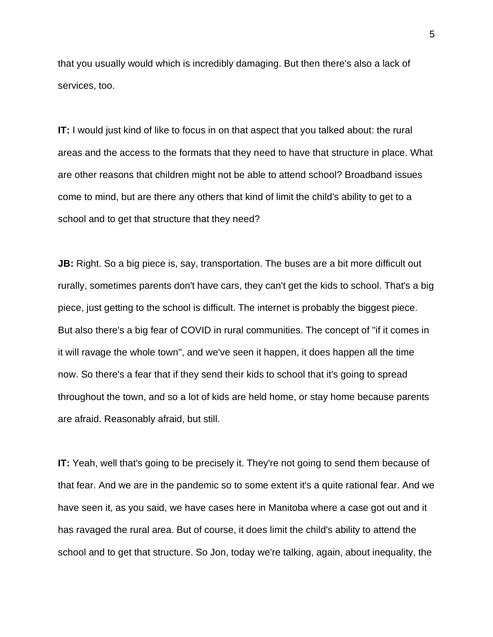that you usually would which is incredibly damaging. But then there's also a lack of services, too.

**IT:** I would just kind of like to focus in on that aspect that you talked about: the rural areas and the access to the formats that they need to have that structure in place. What are other reasons that children might not be able to attend school? Broadband issues come to mind, but are there any others that kind of limit the child's ability to get to a school and to get that structure that they need?

**JB:** Right. So a big piece is, say, transportation. The buses are a bit more difficult out rurally, sometimes parents don't have cars, they can't get the kids to school. That's a big piece, just getting to the school is difficult. The internet is probably the biggest piece. But also there's a big fear of COVID in rural communities. The concept of "if it comes in it will ravage the whole town", and we've seen it happen, it does happen all the time now. So there's a fear that if they send their kids to school that it's going to spread throughout the town, and so a lot of kids are held home, or stay home because parents are afraid. Reasonably afraid, but still.

**IT:** Yeah, well that's going to be precisely it. They're not going to send them because of that fear. And we are in the pandemic so to some extent it's a quite rational fear. And we have seen it, as you said, we have cases here in Manitoba where a case got out and it has ravaged the rural area. But of course, it does limit the child's ability to attend the school and to get that structure. So Jon, today we're talking, again, about inequality, the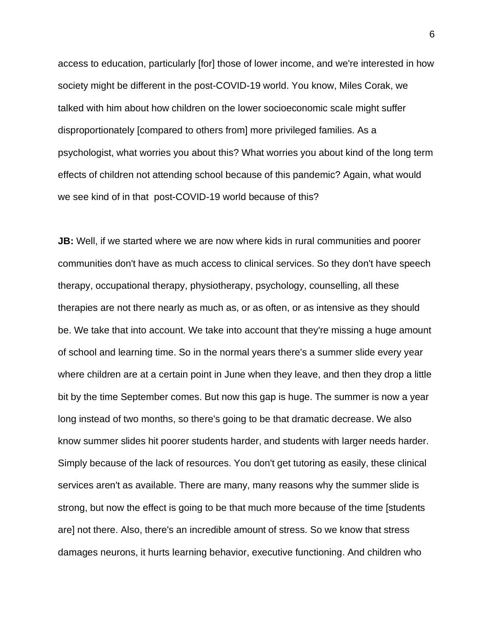access to education, particularly [for] those of lower income, and we're interested in how society might be different in the post-COVID-19 world. You know, Miles Corak, we talked with him about how children on the lower socioeconomic scale might suffer disproportionately [compared to others from] more privileged families. As a psychologist, what worries you about this? What worries you about kind of the long term effects of children not attending school because of this pandemic? Again, what would we see kind of in that post-COVID-19 world because of this?

**JB:** Well, if we started where we are now where kids in rural communities and poorer communities don't have as much access to clinical services. So they don't have speech therapy, occupational therapy, physiotherapy, psychology, counselling, all these therapies are not there nearly as much as, or as often, or as intensive as they should be. We take that into account. We take into account that they're missing a huge amount of school and learning time. So in the normal years there's a summer slide every year where children are at a certain point in June when they leave, and then they drop a little bit by the time September comes. But now this gap is huge. The summer is now a year long instead of two months, so there's going to be that dramatic decrease. We also know summer slides hit poorer students harder, and students with larger needs harder. Simply because of the lack of resources. You don't get tutoring as easily, these clinical services aren't as available. There are many, many reasons why the summer slide is strong, but now the effect is going to be that much more because of the time [students are] not there. Also, there's an incredible amount of stress. So we know that stress damages neurons, it hurts learning behavior, executive functioning. And children who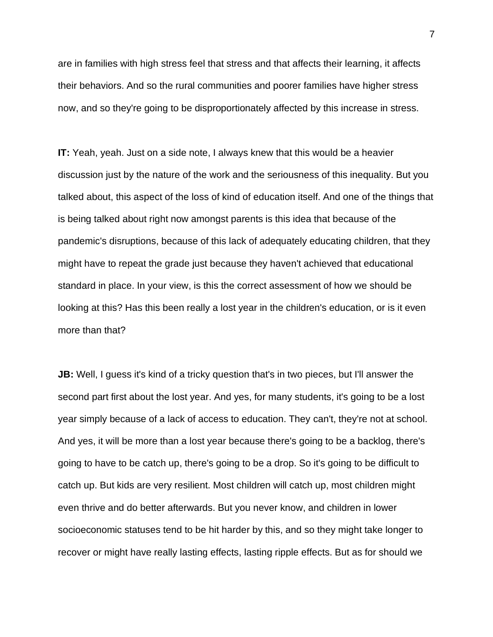are in families with high stress feel that stress and that affects their learning, it affects their behaviors. And so the rural communities and poorer families have higher stress now, and so they're going to be disproportionately affected by this increase in stress.

**IT:** Yeah, yeah. Just on a side note, I always knew that this would be a heavier discussion just by the nature of the work and the seriousness of this inequality. But you talked about, this aspect of the loss of kind of education itself. And one of the things that is being talked about right now amongst parents is this idea that because of the pandemic's disruptions, because of this lack of adequately educating children, that they might have to repeat the grade just because they haven't achieved that educational standard in place. In your view, is this the correct assessment of how we should be looking at this? Has this been really a lost year in the children's education, or is it even more than that?

**JB:** Well, I guess it's kind of a tricky question that's in two pieces, but I'll answer the second part first about the lost year. And yes, for many students, it's going to be a lost year simply because of a lack of access to education. They can't, they're not at school. And yes, it will be more than a lost year because there's going to be a backlog, there's going to have to be catch up, there's going to be a drop. So it's going to be difficult to catch up. But kids are very resilient. Most children will catch up, most children might even thrive and do better afterwards. But you never know, and children in lower socioeconomic statuses tend to be hit harder by this, and so they might take longer to recover or might have really lasting effects, lasting ripple effects. But as for should we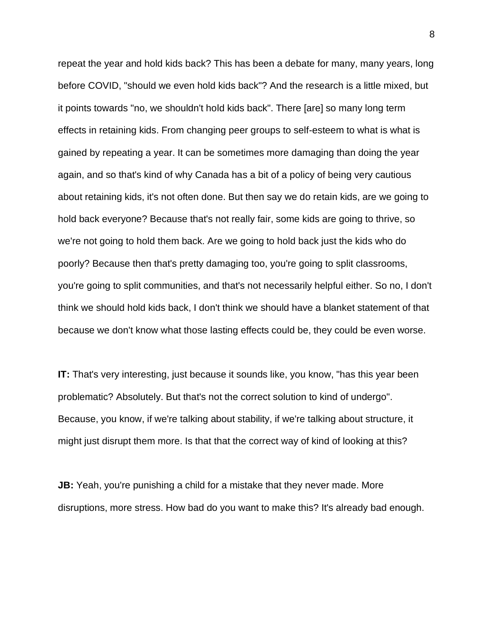repeat the year and hold kids back? This has been a debate for many, many years, long before COVID, "should we even hold kids back"? And the research is a little mixed, but it points towards "no, we shouldn't hold kids back". There [are] so many long term effects in retaining kids. From changing peer groups to self-esteem to what is what is gained by repeating a year. It can be sometimes more damaging than doing the year again, and so that's kind of why Canada has a bit of a policy of being very cautious about retaining kids, it's not often done. But then say we do retain kids, are we going to hold back everyone? Because that's not really fair, some kids are going to thrive, so we're not going to hold them back. Are we going to hold back just the kids who do poorly? Because then that's pretty damaging too, you're going to split classrooms, you're going to split communities, and that's not necessarily helpful either. So no, I don't think we should hold kids back, I don't think we should have a blanket statement of that because we don't know what those lasting effects could be, they could be even worse.

**IT:** That's very interesting, just because it sounds like, you know, "has this year been problematic? Absolutely. But that's not the correct solution to kind of undergo". Because, you know, if we're talking about stability, if we're talking about structure, it might just disrupt them more. Is that that the correct way of kind of looking at this?

**JB:** Yeah, you're punishing a child for a mistake that they never made. More disruptions, more stress. How bad do you want to make this? It's already bad enough.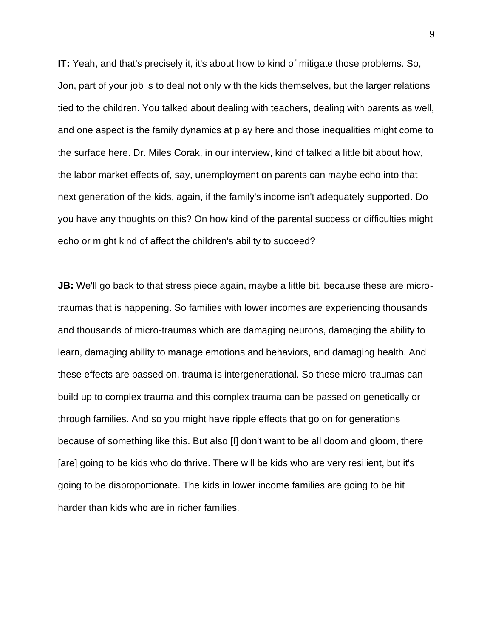**IT:** Yeah, and that's precisely it, it's about how to kind of mitigate those problems. So, Jon, part of your job is to deal not only with the kids themselves, but the larger relations tied to the children. You talked about dealing with teachers, dealing with parents as well, and one aspect is the family dynamics at play here and those inequalities might come to the surface here. Dr. Miles Corak, in our interview, kind of talked a little bit about how, the labor market effects of, say, unemployment on parents can maybe echo into that next generation of the kids, again, if the family's income isn't adequately supported. Do you have any thoughts on this? On how kind of the parental success or difficulties might echo or might kind of affect the children's ability to succeed?

**JB:** We'll go back to that stress piece again, maybe a little bit, because these are microtraumas that is happening. So families with lower incomes are experiencing thousands and thousands of micro-traumas which are damaging neurons, damaging the ability to learn, damaging ability to manage emotions and behaviors, and damaging health. And these effects are passed on, trauma is intergenerational. So these micro-traumas can build up to complex trauma and this complex trauma can be passed on genetically or through families. And so you might have ripple effects that go on for generations because of something like this. But also [I] don't want to be all doom and gloom, there [are] going to be kids who do thrive. There will be kids who are very resilient, but it's going to be disproportionate. The kids in lower income families are going to be hit harder than kids who are in richer families.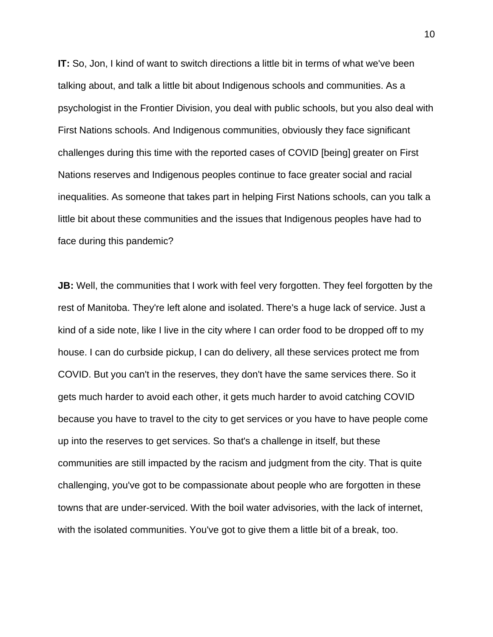**IT:** So, Jon, I kind of want to switch directions a little bit in terms of what we've been talking about, and talk a little bit about Indigenous schools and communities. As a psychologist in the Frontier Division, you deal with public schools, but you also deal with First Nations schools. And Indigenous communities, obviously they face significant challenges during this time with the reported cases of COVID [being] greater on First Nations reserves and Indigenous peoples continue to face greater social and racial inequalities. As someone that takes part in helping First Nations schools, can you talk a little bit about these communities and the issues that Indigenous peoples have had to face during this pandemic?

**JB:** Well, the communities that I work with feel very forgotten. They feel forgotten by the rest of Manitoba. They're left alone and isolated. There's a huge lack of service. Just a kind of a side note, like I live in the city where I can order food to be dropped off to my house. I can do curbside pickup, I can do delivery, all these services protect me from COVID. But you can't in the reserves, they don't have the same services there. So it gets much harder to avoid each other, it gets much harder to avoid catching COVID because you have to travel to the city to get services or you have to have people come up into the reserves to get services. So that's a challenge in itself, but these communities are still impacted by the racism and judgment from the city. That is quite challenging, you've got to be compassionate about people who are forgotten in these towns that are under-serviced. With the boil water advisories, with the lack of internet, with the isolated communities. You've got to give them a little bit of a break, too.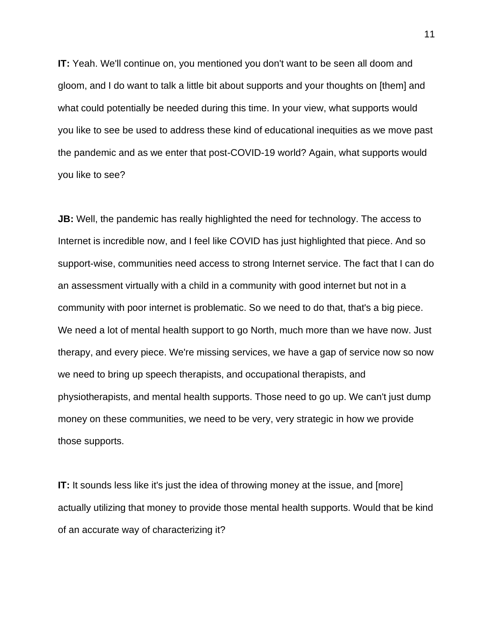**IT:** Yeah. We'll continue on, you mentioned you don't want to be seen all doom and gloom, and I do want to talk a little bit about supports and your thoughts on [them] and what could potentially be needed during this time. In your view, what supports would you like to see be used to address these kind of educational inequities as we move past the pandemic and as we enter that post-COVID-19 world? Again, what supports would you like to see?

**JB:** Well, the pandemic has really highlighted the need for technology. The access to Internet is incredible now, and I feel like COVID has just highlighted that piece. And so support-wise, communities need access to strong Internet service. The fact that I can do an assessment virtually with a child in a community with good internet but not in a community with poor internet is problematic. So we need to do that, that's a big piece. We need a lot of mental health support to go North, much more than we have now. Just therapy, and every piece. We're missing services, we have a gap of service now so now we need to bring up speech therapists, and occupational therapists, and physiotherapists, and mental health supports. Those need to go up. We can't just dump money on these communities, we need to be very, very strategic in how we provide those supports.

**IT:** It sounds less like it's just the idea of throwing money at the issue, and [more] actually utilizing that money to provide those mental health supports. Would that be kind of an accurate way of characterizing it?

11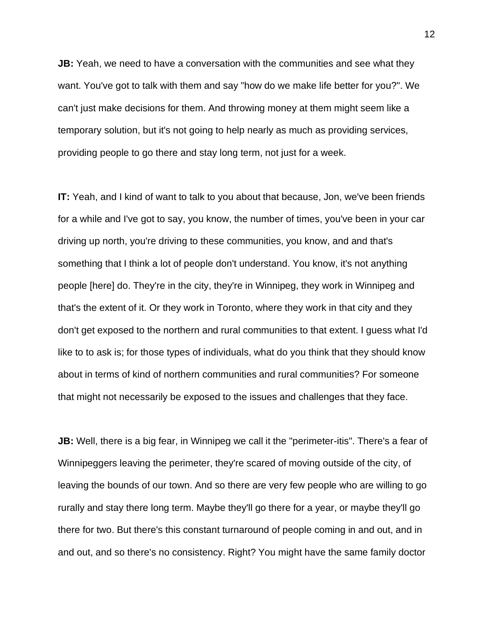**JB:** Yeah, we need to have a conversation with the communities and see what they want. You've got to talk with them and say "how do we make life better for you?". We can't just make decisions for them. And throwing money at them might seem like a temporary solution, but it's not going to help nearly as much as providing services, providing people to go there and stay long term, not just for a week.

**IT:** Yeah, and I kind of want to talk to you about that because, Jon, we've been friends for a while and I've got to say, you know, the number of times, you've been in your car driving up north, you're driving to these communities, you know, and and that's something that I think a lot of people don't understand. You know, it's not anything people [here] do. They're in the city, they're in Winnipeg, they work in Winnipeg and that's the extent of it. Or they work in Toronto, where they work in that city and they don't get exposed to the northern and rural communities to that extent. I guess what I'd like to to ask is; for those types of individuals, what do you think that they should know about in terms of kind of northern communities and rural communities? For someone that might not necessarily be exposed to the issues and challenges that they face.

**JB:** Well, there is a big fear, in Winnipeg we call it the "perimeter-itis". There's a fear of Winnipeggers leaving the perimeter, they're scared of moving outside of the city, of leaving the bounds of our town. And so there are very few people who are willing to go rurally and stay there long term. Maybe they'll go there for a year, or maybe they'll go there for two. But there's this constant turnaround of people coming in and out, and in and out, and so there's no consistency. Right? You might have the same family doctor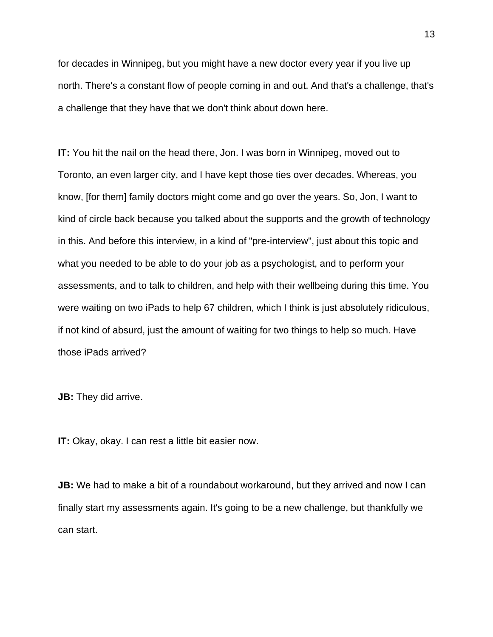for decades in Winnipeg, but you might have a new doctor every year if you live up north. There's a constant flow of people coming in and out. And that's a challenge, that's a challenge that they have that we don't think about down here.

**IT:** You hit the nail on the head there, Jon. I was born in Winnipeg, moved out to Toronto, an even larger city, and I have kept those ties over decades. Whereas, you know, [for them] family doctors might come and go over the years. So, Jon, I want to kind of circle back because you talked about the supports and the growth of technology in this. And before this interview, in a kind of "pre-interview", just about this topic and what you needed to be able to do your job as a psychologist, and to perform your assessments, and to talk to children, and help with their wellbeing during this time. You were waiting on two iPads to help 67 children, which I think is just absolutely ridiculous, if not kind of absurd, just the amount of waiting for two things to help so much. Have those iPads arrived?

**JB:** They did arrive.

**IT:** Okay, okay. I can rest a little bit easier now.

**JB:** We had to make a bit of a roundabout workaround, but they arrived and now I can finally start my assessments again. It's going to be a new challenge, but thankfully we can start.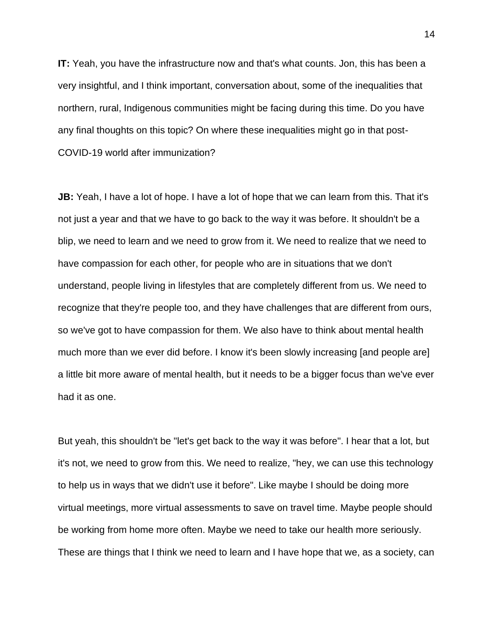**IT:** Yeah, you have the infrastructure now and that's what counts. Jon, this has been a very insightful, and I think important, conversation about, some of the inequalities that northern, rural, Indigenous communities might be facing during this time. Do you have any final thoughts on this topic? On where these inequalities might go in that post-COVID-19 world after immunization?

**JB:** Yeah, I have a lot of hope. I have a lot of hope that we can learn from this. That it's not just a year and that we have to go back to the way it was before. It shouldn't be a blip, we need to learn and we need to grow from it. We need to realize that we need to have compassion for each other, for people who are in situations that we don't understand, people living in lifestyles that are completely different from us. We need to recognize that they're people too, and they have challenges that are different from ours, so we've got to have compassion for them. We also have to think about mental health much more than we ever did before. I know it's been slowly increasing [and people are] a little bit more aware of mental health, but it needs to be a bigger focus than we've ever had it as one.

But yeah, this shouldn't be "let's get back to the way it was before". I hear that a lot, but it's not, we need to grow from this. We need to realize, "hey, we can use this technology to help us in ways that we didn't use it before". Like maybe I should be doing more virtual meetings, more virtual assessments to save on travel time. Maybe people should be working from home more often. Maybe we need to take our health more seriously. These are things that I think we need to learn and I have hope that we, as a society, can